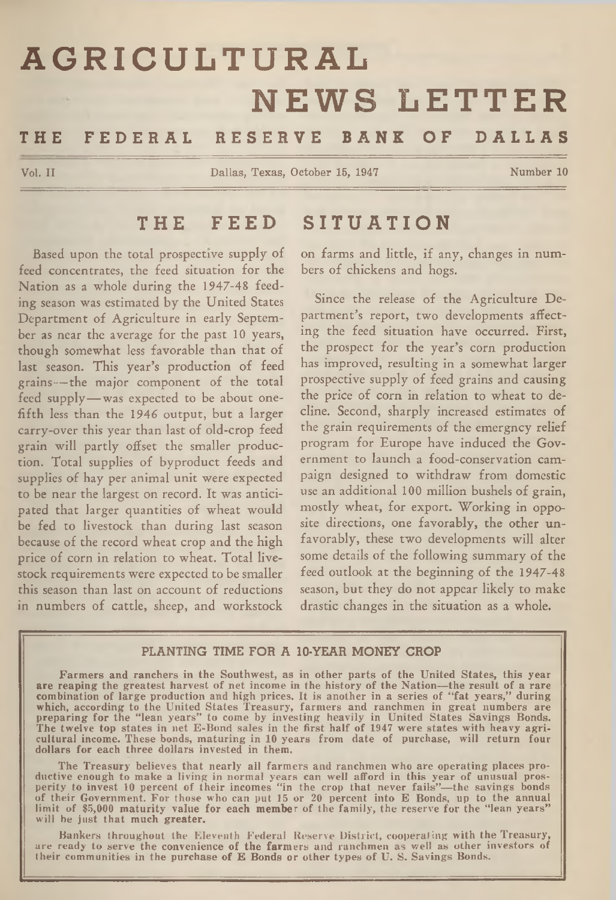# **AGRICULTURAL NEWS LETTER**

# THE FEDERAL RESERVE BANK OF DALLAS

**Vol. II Dallas, Texas, October 15, 1947 Number 10**

#### THE FEED SITUATION

Based upon the total prospective supply of feed concentrates, the feed situation for the Nation as a whole during the 1947-48 feeding season was estimated by the United States Department of Agriculture in early September as near the average for the past 10 years, though somewhat less favorable than that of last season. This year's production of feed grains— the major component of the total feed supply— was expected to be about onefifth less than the 1946 output, but a larger carry-over this year than last of old-crop feed grain will partly offset the smaller production. Total supplies of byproduct feeds and supplies of hay per animal unit were expected to be near the largest on record. It was anticipated that larger quantities of wheat would be fed to livestock than during last season because of the record wheat crop and the high price of corn in relation to wheat. Total livestock requirements were expected to be smaller this season than last on account of reductions in numbers of cattle, sheep, and workstock

on farms and little, if any, changes in numbers of chickens and hogs.

Since the release of the Agriculture Department's report, two developments affecting the feed situation have occurred. First, the prospect for the year's corn production has improved, resulting in a somewhat larger prospective supply of feed grains and causing the price of corn in relation to wheat to decline. Second, sharply increased estimates of the grain requirements of the emergncy relief program for Europe have induced the Government to launch a food-conservation campaign designed to withdraw from domestic use an additional 100 million bushels of grain, mostly wheat, for export. Working in opposite directions, one favorably, the other unfavorably, these two developments will alter some details of the following summary of the feed outlook at the beginning of the 1947-48 season, but they do not appear likely to make drastic changes in the situation as a whole.

#### PLANTING TIME FOR A 10-YEAR MONEY CROP

Farmers and ranchers in the Southwest, as in other parts of the United States, this year<br>are reaping the greatest harvest of net income in the history of the Nation—the result of a rare<br>combination of large production and

The Treasury believes that nearly all farmers and ranchmen who are operating places pro-<br>ductive enough to make a living in normal years can well afford in this year of unusual pros-<br>perity to invest 10 percent of their in

Bankers throughout the Eleventh Federal Reserve District, cooperating with the Treasury, are ready to serve the convenience of the farmers and ranchmen as well as other investors of their communities in the purchase of E B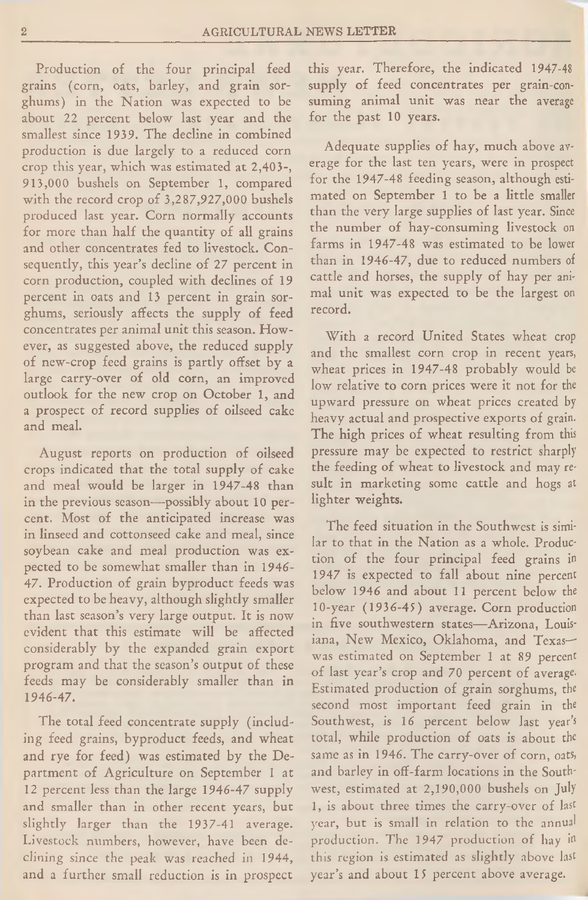Production of the four principal feed grains (corn, oats, barley, and grain sorghums) in the Nation was expected to be about 22 percent below last year and the smallest since 1939. The decline in combined production is due largely to a reduced corn crop this year, which was estimated at 2,403-, 913,000 bushels on September 1, compared with the record crop of 3,287,927,000 bushels produced last year. Corn normally accounts for more than half the quantity of all grains and other concentrates fed to livestock. Consequently, this year's decline of 27 percent in corn production, coupled with declines of 19 percent in oats and 13 percent in grain sorghums, seriously affects the supply of feed concentrates per animal unit this season. However, as suggested above, the reduced supply of new-crop feed grains is partly offset by a large carry-over of old corn, an improved outlook for the new crop on October 1, and a prospect of record supplies of oilseed cake and meal.

August reports on production of oilseed crops indicated that the total supply of cake and meal would be larger in 1947-48 than in the previous season—possibly about 10 percent. Most of the anticipated increase was in linseed and cottonseed cake and meal, since soybean cake and meal production was expected to be somewhat smaller than in 1946- 47. Production of grain byproduct feeds was expected to be heavy, although slightly smaller than last season's very large output. It is now evident that this estimate will be affected considerably by the expanded grain export program and that the season's output of these feeds may be considerably smaller than in 1946-47.

The total feed concentrate supply (including feed grains, byproduct feeds, and wheat and rye for feed) was estimated by the Department of Agriculture on September 1 at 12 percent less than the large 1946-47 supply and smaller than in other recent years, but slightly larger than the 1937-41 average. Livestock numbers, however, have been declining since the peak was reached in 1944, and a further small reduction is in prospect

this year. Therefore, the indicated 1947-48 supply of feed concentrates per grain-consuming animal unit was near the average for the past 10 years.

Adequate supplies of hay, much above average for the last ten years, were in prospect for the 1947-48 feeding season, although estimated on September 1 to be a little smaller than the very large supplies of last year. Since the number of hay-consuming livestock on farms in 1947-48 was estimated to be lower than in 1946-47, due to reduced numbers of cattle and horses, the supply of hay per animal unit was expected to be the largest on record.

With a record United States wheat crop and the smallest corn crop in recent years, wheat prices in 1947-48 probably would be low relative to corn prices were it not for the upward pressure on wheat prices created by heavy actual and prospective exports of grain. The high prices of wheat resulting from this pressure may be expected to restrict sharply the feeding of wheat to livestock and may result in marketing some cattle and hogs at lighter weights.

The feed situation in the Southwest is similar to that in the Nation as a whole. Production of the four principal feed grains in 1947 is expected to fall about nine percent below 1946 and about 11 percent below the 10-year (1936-45) average. Corn production in five southwestern states— Arizona, Louisiana, New Mexico, Oklahoma, and Texas- was estimated on September 1 at 89 percent of last year's crop and 70 percent of average-Estimated production of grain sorghums, the second most important feed grain in the Southwest, is 16 percent below last year's total, while production of oats is about the same as in 1946. The carry-over of corn, oats, and barley in off-farm locations in the Southwest, estimated at 2,190,000 bushels on **July** 1, is about three times the carry-over of last year, but is small in relation to the annual production. The 1947 production of hay in this region is estimated as slightly above last year's and about 15 percent above average.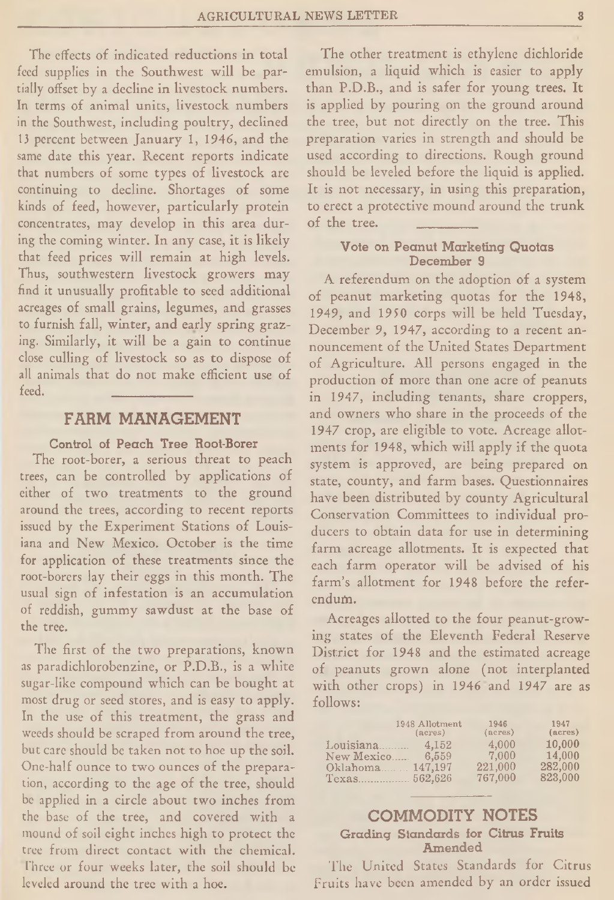The effects of indicated reductions in total feed supplies in the Southwest will be partially offset by a decline in livestock numbers. In terms of animal units, livestock numbers in the Southwest, including poultry, declined 13 percent between January 1, 1946, and the same date this year. Recent reports indicate that numbers of some types of livestock are continuing to decline. Shortages of some kinds of feed, however, particularly protein concentrates, may develop in this area during the coming winter. In any case, it is likely that feed prices will remain at high levels. Thus, southwestern livestock growers may find it unusually profitable to seed additional acreages of small grains, legumes, and grasses to furnish fall, winter, and early spring grazing. Similarly, it will be a gain to continue close culling of livestock so as to dispose of all animals that do not make efficient use of<br>feed. feed. \_\_\_\_\_\_\_\_\_\_\_

## FARM MANAGEMENT

#### Control of Peach Tree Root-Borer

The root-borer, a serious threat to peach trees, can be controlled by applications of either of two treatments to the ground around the trees, according to recent reports issued by the Experiment Stations of Louisiana and New Mexico. October is the time for application of these treatments since the root-borers lay their eggs in this month. The usual sign of infestation is an accumulation of reddish, gummy sawdust at the base of the tree.

The first of the two preparations, known as paradichlorobenzine, or P.D.B., is a white sugar-like compound which can be bought at most drug or seed stores, and is easy to apply. In the use of this treatment, the grass and weeds should be scraped from around the tree, but care should be taken not to hoe up the soil. One-half ounce to two ounces of the preparation, according to the age of the tree, should be applied in a circle about two inches from the base of the tree, and covered with a mound of soil eight inches high to protect the tree from direct contact with the chemical. Three or four weeks later, the soil should be leveled around the tree with a hoe.

The other treatment is ethylene dichloride emulsion, a liquid which is easier to apply than P.D.B., and is safer for young trees. It is applied by pouring on the ground around the tree, but not directly on the tree. This preparation varies in strength and should be used according to directions. Rough ground should be leveled before the liquid is applied. It is not necessary, in using this preparation, to erect a protective mound around the trunk of the tree.

#### Vote on Peanut Marketing Quotas December 9

A referendum on the adoption of a system of peanut marketing quotas for the 1948, 1949, and 1950 corps will be held Tuesday, December 9, 1947, according to a recent announcement of the United States Department of Agriculture. All persons engaged in the production of more than one acre of peanuts in 1947, including tenants, share croppers, and owners who share in the proceeds of the 1947 crop, are eligible to vote. Acreage allotments for 1948, which will apply if the quota system is approved, are being prepared on state, county, and farm bases. Questionnaires have been distributed by county Agricultural Conservation Committees to individual producers to obtain data for use in determining farm acreage allotments. It is expected that each farm operator will be advised of his farm's allotment for 1948 before the referendum.

Acreages allotted to the four peanut-growing states of the Eleventh Federal Reserve District for 1948 and the estimated acreage of peanuts grown alone (not interplanted with other crops) in 1946 and 1947 are as follows:

|                                                      | 1948 Allotment            | 1946                                 | 1947                                   |
|------------------------------------------------------|---------------------------|--------------------------------------|----------------------------------------|
|                                                      | (a <sub>c</sub> res)      | $(\text{acres})$                     | (acres)                                |
| Louisiana<br>New Mexico<br>Oklahoma 147,197<br>Texas | 4.152<br>6,559<br>562.626 | 4.000<br>7.000<br>221,000<br>767,000 | 10,000<br>14,000<br>282,000<br>823,000 |

### COMMODITY NOTES Grading Standards for Citrus Fruits Amended

The United States Standards for Citrus Fruits have been amended by an order issued